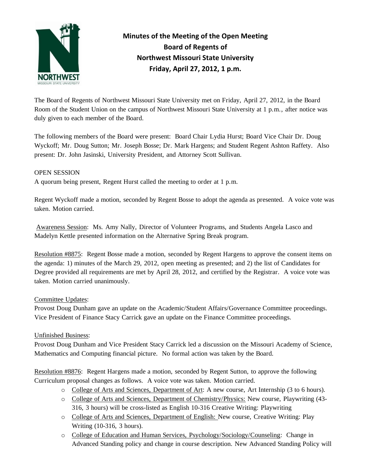

# **Minutes of the Meeting of the Open Meeting Board of Regents of Northwest Missouri State University Friday, April 27, 2012, 1 p.m.**

The Board of Regents of Northwest Missouri State University met on Friday, April 27, 2012, in the Board Room of the Student Union on the campus of Northwest Missouri State University at 1 p.m., after notice was duly given to each member of the Board.

The following members of the Board were present: Board Chair Lydia Hurst; Board Vice Chair Dr. Doug Wyckoff; Mr. Doug Sutton; Mr. Joseph Bosse; Dr. Mark Hargens; and Student Regent Ashton Raffety. Also present: Dr. John Jasinski, University President, and Attorney Scott Sullivan.

### OPEN SESSION

A quorum being present, Regent Hurst called the meeting to order at 1 p.m.

Regent Wyckoff made a motion, seconded by Regent Bosse to adopt the agenda as presented. A voice vote was taken. Motion carried.

Awareness Session: Ms. Amy Nally, Director of Volunteer Programs, and Students Angela Lasco and Madelyn Kettle presented information on the Alternative Spring Break program.

Resolution #8875: Regent Bosse made a motion, seconded by Regent Hargens to approve the consent items on the agenda: 1) minutes of the March 29, 2012, open meeting as presented; and 2) the list of Candidates for Degree provided all requirements are met by April 28, 2012, and certified by the Registrar. A voice vote was taken. Motion carried unanimously.

### Committee Updates:

Provost Doug Dunham gave an update on the Academic/Student Affairs/Governance Committee proceedings. Vice President of Finance Stacy Carrick gave an update on the Finance Committee proceedings.

## Unfinished Business:

Provost Doug Dunham and Vice President Stacy Carrick led a discussion on the Missouri Academy of Science, Mathematics and Computing financial picture. No formal action was taken by the Board.

Resolution #8876: Regent Hargens made a motion, seconded by Regent Sutton, to approve the following Curriculum proposal changes as follows. A voice vote was taken. Motion carried.

- o College of Arts and Sciences, Department of Art: A new course, Art Internship (3 to 6 hours).
- o College of Arts and Sciences, Department of Chemistry/Physics: New course, Playwriting (43- 316, 3 hours) will be cross-listed as English 10-316 Creative Writing: Playwriting
- o College of Arts and Sciences, Department of English: New course, Creative Writing: Play Writing (10-316, 3 hours).
- o College of Education and Human Services, Psychology/Sociology/Counseling: Change in Advanced Standing policy and change in course description. New Advanced Standing Policy will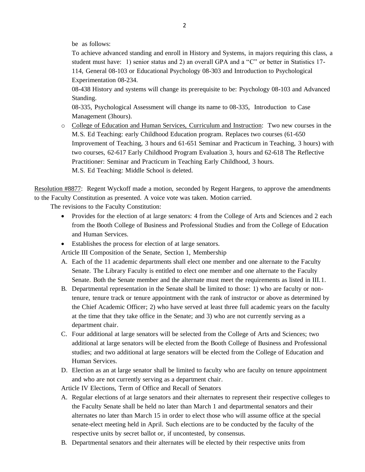be as follows:

To achieve advanced standing and enroll in History and Systems, in majors requiring this class, a student must have: 1) senior status and 2) an overall GPA and a "C" or better in Statistics 17- 114, General 08-103 or Educational Psychology 08-303 and Introduction to Psychological Experimentation 08-234.

08-438 History and systems will change its prerequisite to be: Psychology 08-103 and Advanced Standing.

08-335, Psychological Assessment will change its name to 08-335, Introduction to Case Management (3hours).

o College of Education and Human Services, Curriculum and Instruction: Two new courses in the M.S. Ed Teaching: early Childhood Education program. Replaces two courses (61-650 Improvement of Teaching, 3 hours and 61-651 Seminar and Practicum in Teaching, 3 hours) with two courses, 62-617 Early Childhood Program Evaluation 3, hours and 62-618 The Reflective Practitioner: Seminar and Practicum in Teaching Early Childhood, 3 hours. M.S. Ed Teaching: Middle School is deleted.

Resolution #8877: Regent Wyckoff made a motion, seconded by Regent Hargens, to approve the amendments to the Faculty Constitution as presented. A voice vote was taken. Motion carried.

The revisions to the Faculty Constitution:

- Provides for the election of at large senators: 4 from the College of Arts and Sciences and 2 each from the Booth College of Business and Professional Studies and from the College of Education and Human Services.
- Establishes the process for election of at large senators.

Article III Composition of the Senate, Section 1, Membership

- A. Each of the 11 academic departments shall elect one member and one alternate to the Faculty Senate. The Library Faculty is entitled to elect one member and one alternate to the Faculty Senate. Both the Senate member and the alternate must meet the requirements as listed in III.1.
- B. Departmental representation in the Senate shall be limited to those: 1) who are faculty or nontenure, tenure track or tenure appointment with the rank of instructor or above as determined by the Chief Academic Officer; 2) who have served at least three full academic years on the faculty at the time that they take office in the Senate; and 3) who are not currently serving as a department chair.
- C. Four additional at large senators will be selected from the College of Arts and Sciences; two additional at large senators will be elected from the Booth College of Business and Professional studies; and two additional at large senators will be elected from the College of Education and Human Services.
- D. Election as an at large senator shall be limited to faculty who are faculty on tenure appointment and who are not currently serving as a department chair.

Article IV Elections, Term of Office and Recall of Senators

- A. Regular elections of at large senators and their alternates to represent their respective colleges to the Faculty Senate shall be held no later than March 1 and departmental senators and their alternates no later than March 15 in order to elect those who will assume office at the special senate-elect meeting held in April. Such elections are to be conducted by the faculty of the respective units by secret ballot or, if uncontested, by consensus.
- B. Departmental senators and their alternates will be elected by their respective units from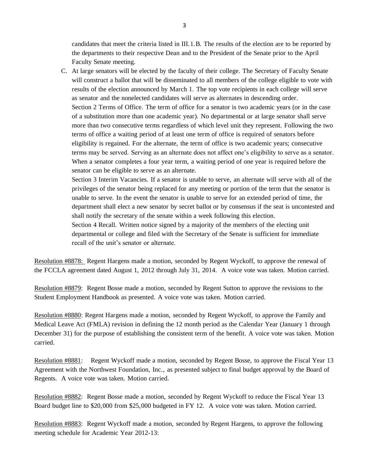candidates that meet the criteria listed in III.1.B. The results of the election are to be reported by the departments to their respective Dean and to the President of the Senate prior to the April Faculty Senate meeting.

C. At large senators will be elected by the faculty of their college. The Secretary of Faculty Senate will construct a ballot that will be disseminated to all members of the college eligible to vote with results of the election announced by March 1. The top vote recipients in each college will serve as senator and the nonelected candidates will serve as alternates in descending order. Section 2 Terms of Office. The term of office for a senator is two academic years (or in the case of a substitution more than one academic year). No departmental or at large senator shall serve more than two consecutive terms regardless of which level unit they represent. Following the two terms of office a waiting period of at least one term of office is required of senators before eligibility is regained. For the alternate, the term of office is two academic years; consecutive terms may be served. Serving as an alternate does not affect one's eligibility to serve as a senator. When a senator completes a four year term, a waiting period of one year is required before the senator can be eligible to serve as an alternate.

Section 3 Interim Vacancies. If a senator is unable to serve, an alternate will serve with all of the privileges of the senator being replaced for any meeting or portion of the term that the senator is unable to serve. In the event the senator is unable to serve for an extended period of time, the department shall elect a new senator by secret ballot or by consensus if the seat is uncontested and shall notify the secretary of the senate within a week following this election.

Section 4 Recall. Written notice signed by a majority of the members of the electing unit departmental or college and filed with the Secretary of the Senate is sufficient for immediate recall of the unit's senator or alternate.

Resolution #8878: Regent Hargens made a motion, seconded by Regent Wyckoff, to approve the renewal of the FCCLA agreement dated August 1, 2012 through July 31, 2014. A voice vote was taken. Motion carried.

Resolution #8879: Regent Bosse made a motion, seconded by Regent Sutton to approve the revisions to the Student Employment Handbook as presented. A voice vote was taken. Motion carried.

Resolution #8880: Regent Hargens made a motion, seconded by Regent Wyckoff, to approve the Family and Medical Leave Act (FMLA) revision in defining the 12 month period as the Calendar Year (January 1 through December 31) for the purpose of establishing the consistent term of the benefit. A voice vote was taken. Motion carried.

Resolution #8881: Regent Wyckoff made a motion, seconded by Regent Bosse, to approve the Fiscal Year 13 Agreement with the Northwest Foundation, Inc., as presented subject to final budget approval by the Board of Regents. A voice vote was taken. Motion carried.

Resolution #8882: Regent Bosse made a motion, seconded by Regent Wyckoff to reduce the Fiscal Year 13 Board budget line to \$20,000 from \$25,000 budgeted in FY 12. A voice vote was taken. Motion carried.

Resolution #8883: Regent Wyckoff made a motion, seconded by Regent Hargens, to approve the following meeting schedule for Academic Year 2012-13: